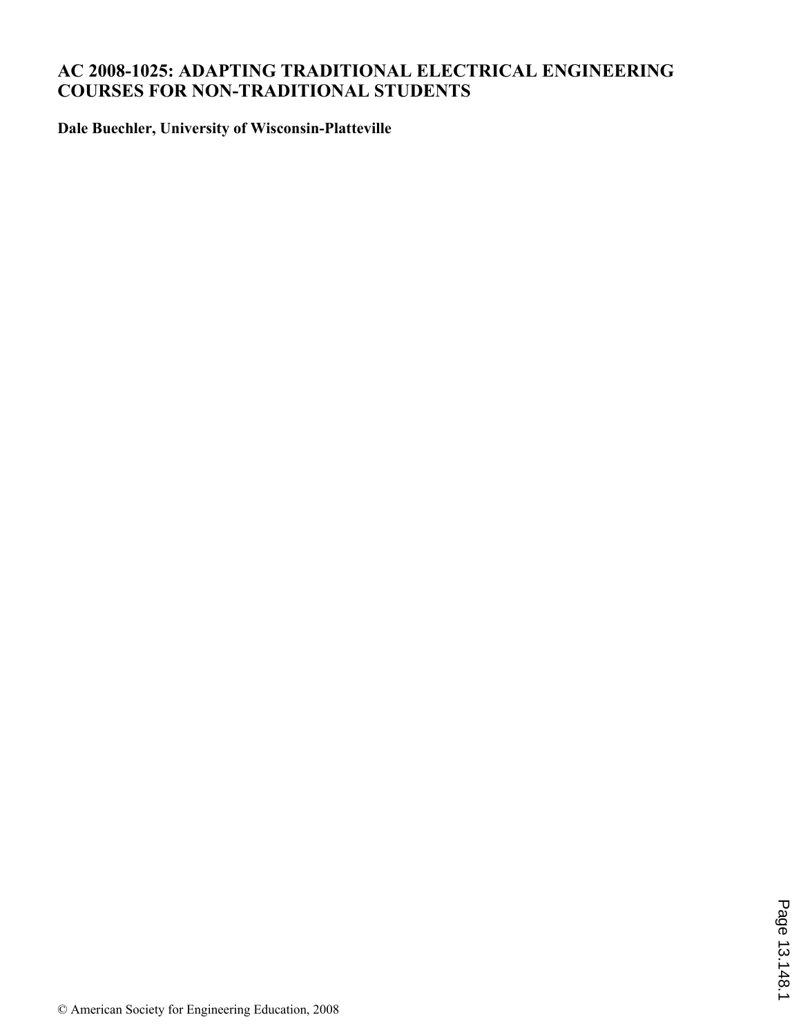# **AC 2008-1025: ADAPTING TRADITIONAL ELECTRICAL ENGINEERING COURSES FOR NON-TRADITIONAL STUDENTS**

**Dale Buechler, University of Wisconsin-Platteville**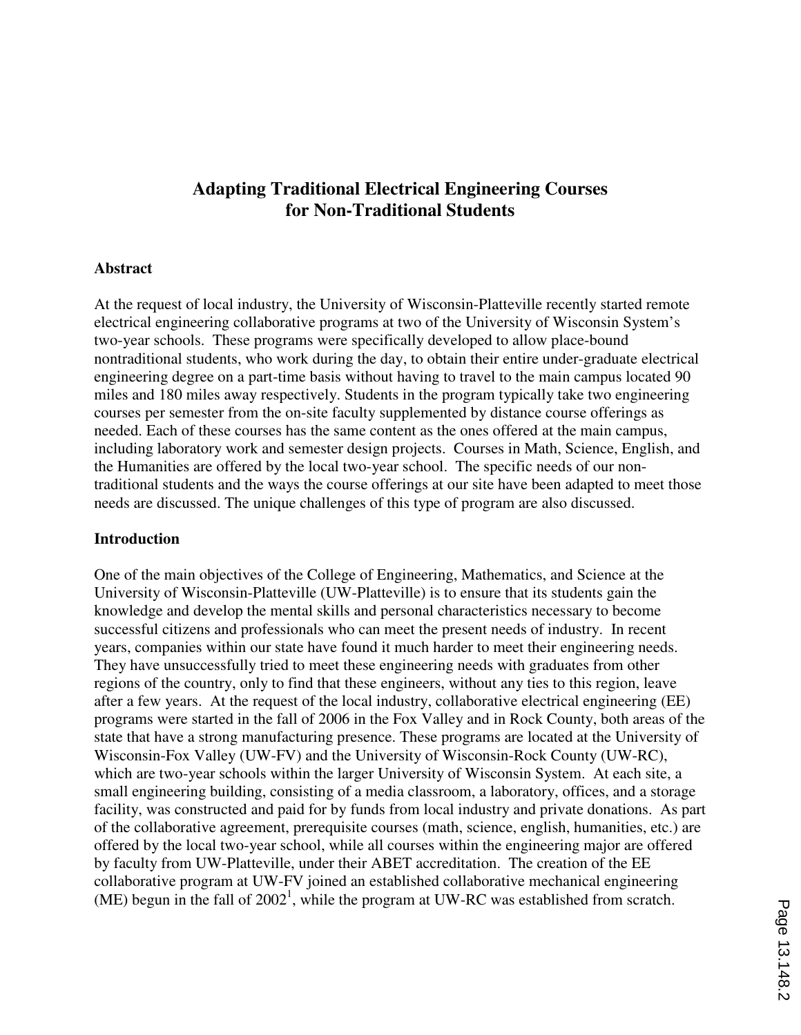# **Adapting Traditional Electrical Engineering Courses for Non-Traditional Students**

## **Abstract**

At the request of local industry, the University of Wisconsin-Platteville recently started remote electrical engineering collaborative programs at two of the University of Wisconsin System's two-year schools. These programs were specifically developed to allow place-bound nontraditional students, who work during the day, to obtain their entire under-graduate electrical engineering degree on a part-time basis without having to travel to the main campus located 90 miles and 180 miles away respectively. Students in the program typically take two engineering courses per semester from the on-site faculty supplemented by distance course offerings as needed. Each of these courses has the same content as the ones offered at the main campus, including laboratory work and semester design projects. Courses in Math, Science, English, and the Humanities are offered by the local two-year school. The specific needs of our nontraditional students and the ways the course offerings at our site have been adapted to meet those needs are discussed. The unique challenges of this type of program are also discussed.

### **Introduction**

One of the main objectives of the College of Engineering, Mathematics, and Science at the University of Wisconsin-Platteville (UW-Platteville) is to ensure that its students gain the knowledge and develop the mental skills and personal characteristics necessary to become successful citizens and professionals who can meet the present needs of industry. In recent years, companies within our state have found it much harder to meet their engineering needs. They have unsuccessfully tried to meet these engineering needs with graduates from other regions of the country, only to find that these engineers, without any ties to this region, leave after a few years. At the request of the local industry, collaborative electrical engineering (EE) programs were started in the fall of 2006 in the Fox Valley and in Rock County, both areas of the state that have a strong manufacturing presence. These programs are located at the University of Wisconsin-Fox Valley (UW-FV) and the University of Wisconsin-Rock County (UW-RC), which are two-year schools within the larger University of Wisconsin System. At each site, a small engineering building, consisting of a media classroom, a laboratory, offices, and a storage facility, was constructed and paid for by funds from local industry and private donations. As part of the collaborative agreement, prerequisite courses (math, science, english, humanities, etc.) are offered by the local two-year school, while all courses within the engineering major are offered by faculty from UW-Platteville, under their ABET accreditation. The creation of the EE collaborative program at UW-FV joined an established collaborative mechanical engineering (ME) begun in the fall of  $2002<sup>1</sup>$ , while the program at UW-RC was established from scratch.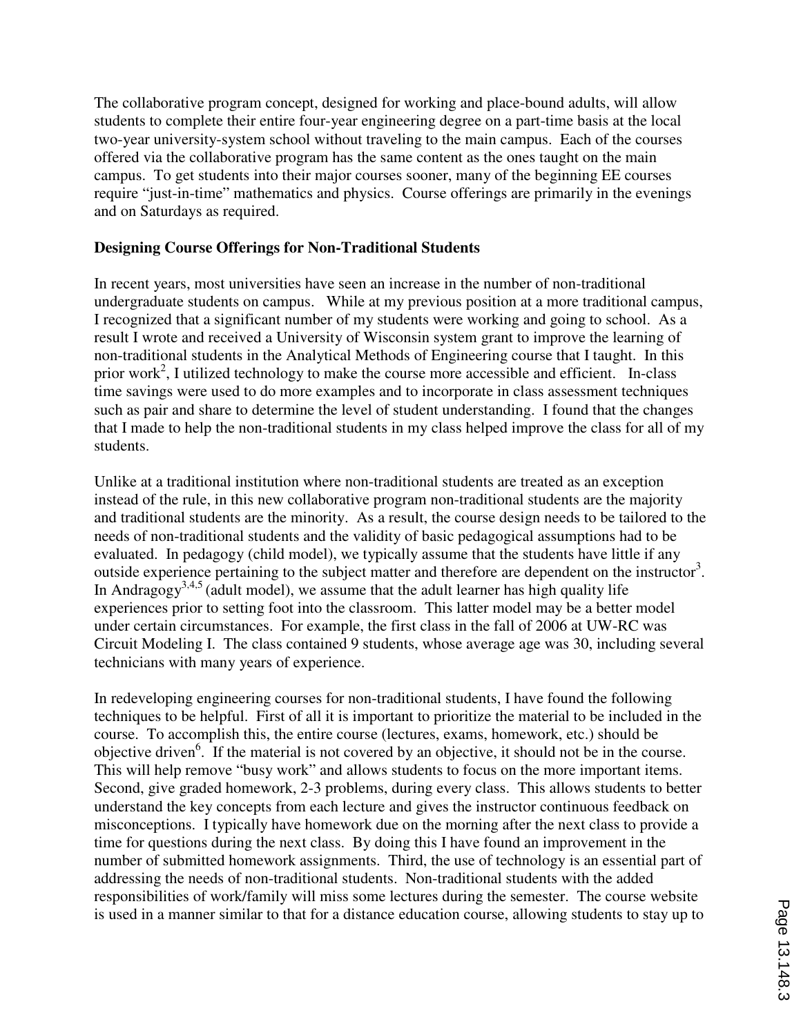The collaborative program concept, designed for working and place-bound adults, will allow students to complete their entire four-year engineering degree on a part-time basis at the local two-year university-system school without traveling to the main campus. Each of the courses offered via the collaborative program has the same content as the ones taught on the main campus. To get students into their major courses sooner, many of the beginning EE courses require "just-in-time" mathematics and physics. Course offerings are primarily in the evenings and on Saturdays as required.

# **Designing Course Offerings for Non-Traditional Students**

In recent years, most universities have seen an increase in the number of non-traditional undergraduate students on campus. While at my previous position at a more traditional campus, I recognized that a significant number of my students were working and going to school. As a result I wrote and received a University of Wisconsin system grant to improve the learning of non-traditional students in the Analytical Methods of Engineering course that I taught. In this prior work<sup>2</sup>, I utilized technology to make the course more accessible and efficient. In-class time savings were used to do more examples and to incorporate in class assessment techniques such as pair and share to determine the level of student understanding. I found that the changes that I made to help the non-traditional students in my class helped improve the class for all of my students.

Unlike at a traditional institution where non-traditional students are treated as an exception instead of the rule, in this new collaborative program non-traditional students are the majority and traditional students are the minority. As a result, the course design needs to be tailored to the needs of non-traditional students and the validity of basic pedagogical assumptions had to be evaluated. In pedagogy (child model), we typically assume that the students have little if any outside experience pertaining to the subject matter and therefore are dependent on the instructor<sup>3</sup>. In Andragogy<sup>3,4,5</sup> (adult model), we assume that the adult learner has high quality life experiences prior to setting foot into the classroom. This latter model may be a better model under certain circumstances. For example, the first class in the fall of 2006 at UW-RC was Circuit Modeling I. The class contained 9 students, whose average age was 30, including several technicians with many years of experience.

In redeveloping engineering courses for non-traditional students, I have found the following techniques to be helpful. First of all it is important to prioritize the material to be included in the course. To accomplish this, the entire course (lectures, exams, homework, etc.) should be objective driven<sup>6</sup>. If the material is not covered by an objective, it should not be in the course. This will help remove "busy work" and allows students to focus on the more important items. Second, give graded homework, 2-3 problems, during every class. This allows students to better understand the key concepts from each lecture and gives the instructor continuous feedback on misconceptions. I typically have homework due on the morning after the next class to provide a time for questions during the next class. By doing this I have found an improvement in the number of submitted homework assignments. Third, the use of technology is an essential part of addressing the needs of non-traditional students. Non-traditional students with the added responsibilities of work/family will miss some lectures during the semester. The course website is used in a manner similar to that for a distance education course, allowing students to stay up to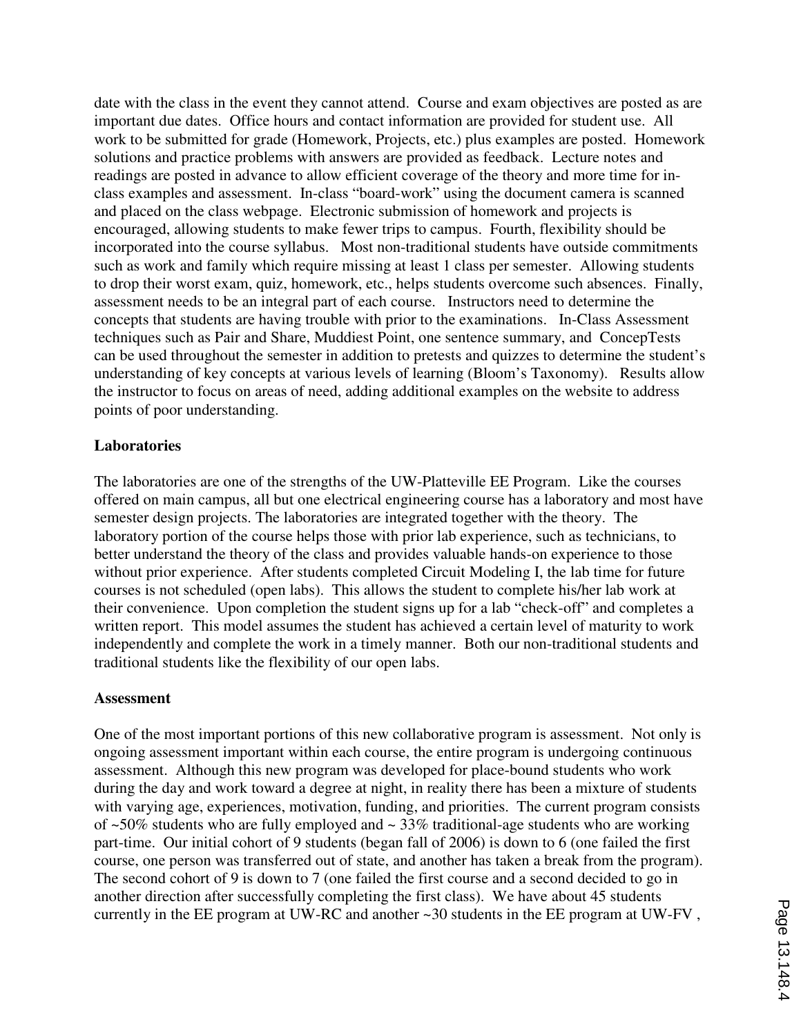date with the class in the event they cannot attend. Course and exam objectives are posted as are important due dates. Office hours and contact information are provided for student use. All work to be submitted for grade (Homework, Projects, etc.) plus examples are posted. Homework solutions and practice problems with answers are provided as feedback. Lecture notes and readings are posted in advance to allow efficient coverage of the theory and more time for inclass examples and assessment. In-class "board-work" using the document camera is scanned and placed on the class webpage. Electronic submission of homework and projects is encouraged, allowing students to make fewer trips to campus. Fourth, flexibility should be incorporated into the course syllabus. Most non-traditional students have outside commitments such as work and family which require missing at least 1 class per semester. Allowing students to drop their worst exam, quiz, homework, etc., helps students overcome such absences. Finally, assessment needs to be an integral part of each course. Instructors need to determine the concepts that students are having trouble with prior to the examinations. In-Class Assessment techniques such as Pair and Share, Muddiest Point, one sentence summary, and ConcepTests can be used throughout the semester in addition to pretests and quizzes to determine the student's understanding of key concepts at various levels of learning (Bloom's Taxonomy). Results allow the instructor to focus on areas of need, adding additional examples on the website to address points of poor understanding.

## **Laboratories**

The laboratories are one of the strengths of the UW-Platteville EE Program. Like the courses offered on main campus, all but one electrical engineering course has a laboratory and most have semester design projects. The laboratories are integrated together with the theory. The laboratory portion of the course helps those with prior lab experience, such as technicians, to better understand the theory of the class and provides valuable hands-on experience to those without prior experience. After students completed Circuit Modeling I, the lab time for future courses is not scheduled (open labs). This allows the student to complete his/her lab work at their convenience. Upon completion the student signs up for a lab "check-off" and completes a written report. This model assumes the student has achieved a certain level of maturity to work independently and complete the work in a timely manner. Both our non-traditional students and traditional students like the flexibility of our open labs.

### **Assessment**

One of the most important portions of this new collaborative program is assessment. Not only is ongoing assessment important within each course, the entire program is undergoing continuous assessment. Although this new program was developed for place-bound students who work during the day and work toward a degree at night, in reality there has been a mixture of students with varying age, experiences, motivation, funding, and priorities. The current program consists of  $\approx$ 50% students who are fully employed and  $\sim$  33% traditional-age students who are working part-time. Our initial cohort of 9 students (began fall of 2006) is down to 6 (one failed the first course, one person was transferred out of state, and another has taken a break from the program). The second cohort of 9 is down to 7 (one failed the first course and a second decided to go in another direction after successfully completing the first class). We have about 45 students currently in the EE program at UW-RC and another ~30 students in the EE program at UW-FV ,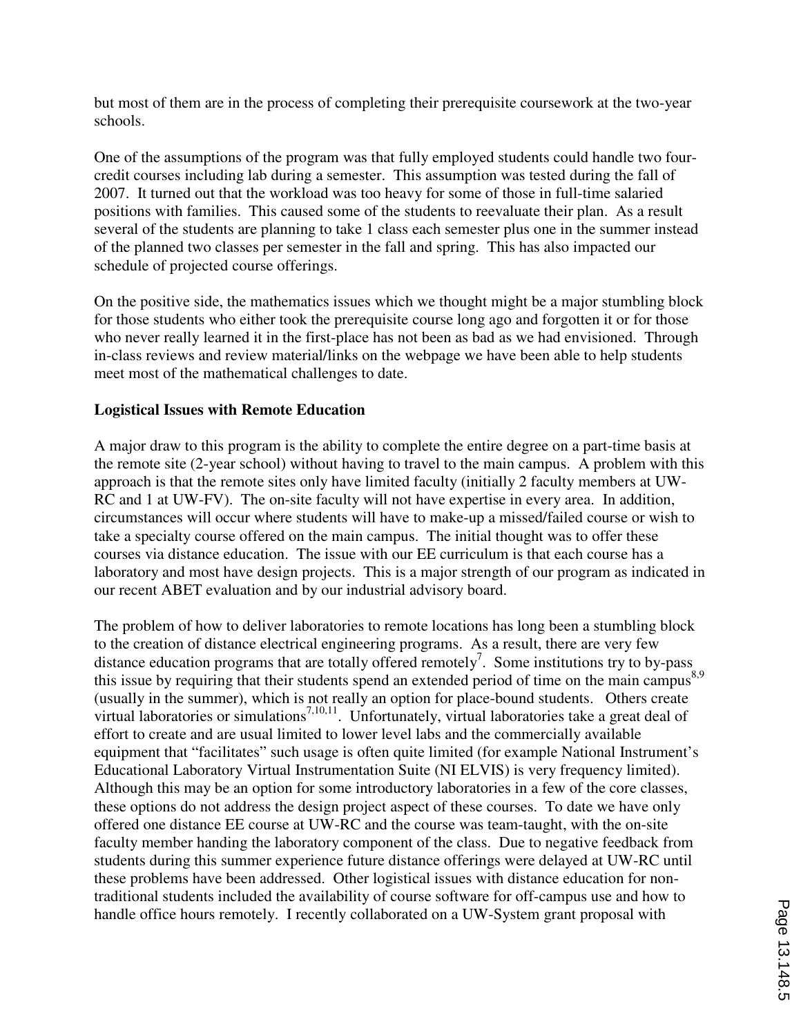but most of them are in the process of completing their prerequisite coursework at the two-year schools.

One of the assumptions of the program was that fully employed students could handle two fourcredit courses including lab during a semester. This assumption was tested during the fall of 2007. It turned out that the workload was too heavy for some of those in full-time salaried positions with families. This caused some of the students to reevaluate their plan. As a result several of the students are planning to take 1 class each semester plus one in the summer instead of the planned two classes per semester in the fall and spring. This has also impacted our schedule of projected course offerings.

On the positive side, the mathematics issues which we thought might be a major stumbling block for those students who either took the prerequisite course long ago and forgotten it or for those who never really learned it in the first-place has not been as bad as we had envisioned. Through in-class reviews and review material/links on the webpage we have been able to help students meet most of the mathematical challenges to date.

# **Logistical Issues with Remote Education**

A major draw to this program is the ability to complete the entire degree on a part-time basis at the remote site (2-year school) without having to travel to the main campus. A problem with this approach is that the remote sites only have limited faculty (initially 2 faculty members at UW-RC and 1 at UW-FV). The on-site faculty will not have expertise in every area. In addition, circumstances will occur where students will have to make-up a missed/failed course or wish to take a specialty course offered on the main campus. The initial thought was to offer these courses via distance education. The issue with our EE curriculum is that each course has a laboratory and most have design projects. This is a major strength of our program as indicated in our recent ABET evaluation and by our industrial advisory board.

The problem of how to deliver laboratories to remote locations has long been a stumbling block to the creation of distance electrical engineering programs. As a result, there are very few distance education programs that are totally offered remotely<sup>7</sup>. Some institutions try to by-pass this issue by requiring that their students spend an extended period of time on the main campus<sup>8,9</sup> (usually in the summer), which is not really an option for place-bound students. Others create virtual laboratories or simulations<sup>7,10,11</sup>. Unfortunately, virtual laboratories take a great deal of effort to create and are usual limited to lower level labs and the commercially available equipment that "facilitates" such usage is often quite limited (for example National Instrument's Educational Laboratory Virtual Instrumentation Suite (NI ELVIS) is very frequency limited). Although this may be an option for some introductory laboratories in a few of the core classes, these options do not address the design project aspect of these courses. To date we have only offered one distance EE course at UW-RC and the course was team-taught, with the on-site faculty member handing the laboratory component of the class. Due to negative feedback from students during this summer experience future distance offerings were delayed at UW-RC until these problems have been addressed. Other logistical issues with distance education for nontraditional students included the availability of course software for off-campus use and how to handle office hours remotely. I recently collaborated on a UW-System grant proposal with